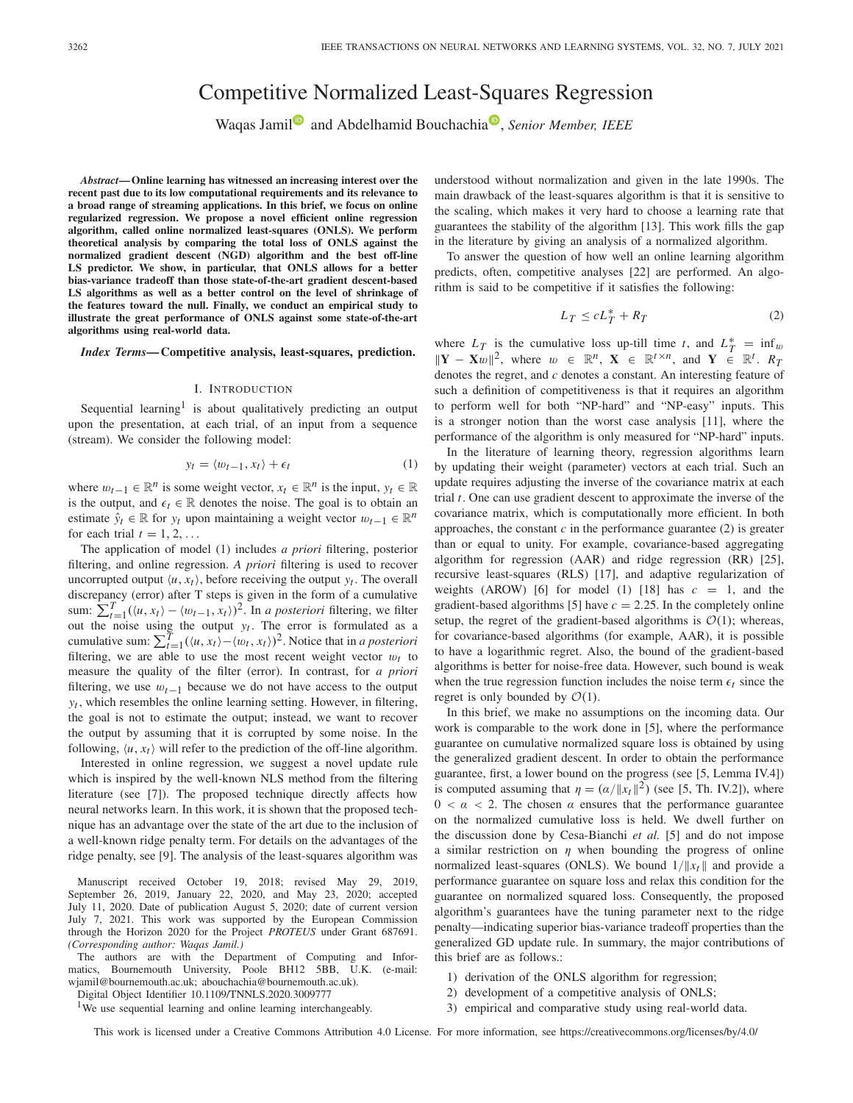# Competitive Normalized Least-Squares Regression

Waqas Jami[l](https://orcid.org/0000-0001-7220-537X)<sup>®</sup> and Abdelhamid Bouchachia<sup>®</sup>, *Senior Member, IEEE* 

*Abstract***— Online learning has witnessed an increasing interest over the recent past due to its low computational requirements and its relevance to a broad range of streaming applications. In this brief, we focus on online regularized regression. We propose a novel efficient online regression algorithm, called online normalized least-squares (ONLS). We perform theoretical analysis by comparing the total loss of ONLS against the normalized gradient descent (NGD) algorithm and the best off-line LS predictor. We show, in particular, that ONLS allows for a better bias-variance tradeoff than those state-of-the-art gradient descent-based LS algorithms as well as a better control on the level of shrinkage of the features toward the null. Finally, we conduct an empirical study to illustrate the great performance of ONLS against some state-of-the-art algorithms using real-world data.**

*Index Terms***— Competitive analysis, least-squares, prediction.**

### I. INTRODUCTION

Sequential learning<sup>1</sup> is about qualitatively predicting an output upon the presentation, at each trial, of an input from a sequence (stream). We consider the following model:

$$
y_t = \langle w_{t-1}, x_t \rangle + \epsilon_t \tag{1}
$$

where  $w_{t-1} \in \mathbb{R}^n$  is some weight vector,  $x_t \in \mathbb{R}^n$  is the input,  $y_t \in \mathbb{R}$ is the output, and  $\epsilon_t \in \mathbb{R}$  denotes the noise. The goal is to obtain an estimate  $\hat{y}_t \in \mathbb{R}$  for  $y_t$  upon maintaining a weight vector  $w_{t-1} \in \mathbb{R}^n$ for each trial  $t = 1, 2, \ldots$ 

The application of model (1) includes *a priori* filtering, posterior filtering, and online regression. *A priori* filtering is used to recover uncorrupted output  $\langle u, x_t \rangle$ , before receiving the output  $y_t$ . The overall discrepancy (error) after T steps is given in the form of a cumulative sum:  $\sum_{t=1}^{T} (\langle u, x_t \rangle - \langle w_{t-1}, x_t \rangle)^2$ . In *a posteriori* filtering, we filter out the noise using the output  $y_t$ . The error is formulated as a cumulative sum:  $\sum_{t=1}^{T} (\langle u, x_t \rangle - \langle w_t, x_t \rangle)^2$ . Notice that in *a posteriori* filtering, we are able to use the most recent weight vector  $w_t$  to measure the quality of the filter (error). In contrast, for *a priori* filtering, we use  $w_{t-1}$  because we do not have access to the output  $y_t$ , which resembles the online learning setting. However, in filtering, the goal is not to estimate the output; instead, we want to recover the output by assuming that it is corrupted by some noise. In the following,  $\langle u, x_t \rangle$  will refer to the prediction of the off-line algorithm.

Interested in online regression, we suggest a novel update rule which is inspired by the well-known NLS method from the filtering literature (see [7]). The proposed technique directly affects how neural networks learn. In this work, it is shown that the proposed technique has an advantage over the state of the art due to the inclusion of a well-known ridge penalty term. For details on the advantages of the ridge penalty, see [9]. The analysis of the least-squares algorithm was

Manuscript received October 19, 2018; revised May 29, 2019, September 26, 2019, January 22, 2020, and May 23, 2020; accepted July 11, 2020. Date of publication August 5, 2020; date of current version July 7, 2021. This work was supported by the European Commission through the Horizon 2020 for the Project *PROTEUS* under Grant 687691. *(Corresponding author: Waqas Jamil.)*

The authors are with the Department of Computing and Informatics, Bournemouth University, Poole BH12 5BB, U.K. (e-mail: wjamil@bournemouth.ac.uk; abouchachia@bournemouth.ac.uk).

Digital Object Identifier 10.1109/TNNLS.2020.3009777

<sup>1</sup>We use sequential learning and online learning interchangeably.

understood without normalization and given in the late 1990s. The main drawback of the least-squares algorithm is that it is sensitive to the scaling, which makes it very hard to choose a learning rate that guarantees the stability of the algorithm [13]. This work fills the gap in the literature by giving an analysis of a normalized algorithm.

To answer the question of how well an online learning algorithm predicts, often, competitive analyses [22] are performed. An algorithm is said to be competitive if it satisfies the following:

$$
L_T \le c L_T^* + R_T \tag{2}
$$

where  $L_T$  is the cumulative loss up-till time *t*, and  $L_T^* = \inf_w$  $||\mathbf{Y} - \mathbf{X}w||^2$ , where  $w \in \mathbb{R}^n$ ,  $\mathbf{X} \in \mathbb{R}^{t \times n}$ , and  $\mathbf{Y} \in \mathbb{R}^t$ .  $R_T$ denotes the regret, and *c* denotes a constant. An interesting feature of such a definition of competitiveness is that it requires an algorithm to perform well for both "NP-hard" and "NP-easy" inputs. This is a stronger notion than the worst case analysis [11], where the performance of the algorithm is only measured for "NP-hard" inputs.

In the literature of learning theory, regression algorithms learn by updating their weight (parameter) vectors at each trial. Such an update requires adjusting the inverse of the covariance matrix at each trial *t*. One can use gradient descent to approximate the inverse of the covariance matrix, which is computationally more efficient. In both approaches, the constant  $c$  in the performance guarantee  $(2)$  is greater than or equal to unity. For example, covariance-based aggregating algorithm for regression (AAR) and ridge regression (RR) [25], recursive least-squares (RLS) [17], and adaptive regularization of weights (AROW) [6] for model (1) [18] has  $c = 1$ , and the gradient-based algorithms [5] have  $c = 2.25$ . In the completely online setup, the regret of the gradient-based algorithms is  $O(1)$ ; whereas, for covariance-based algorithms (for example, AAR), it is possible to have a logarithmic regret. Also, the bound of the gradient-based algorithms is better for noise-free data. However, such bound is weak when the true regression function includes the noise term  $\epsilon_t$  since the regret is only bounded by  $\mathcal{O}(1)$ .

In this brief, we make no assumptions on the incoming data. Our work is comparable to the work done in [5], where the performance guarantee on cumulative normalized square loss is obtained by using the generalized gradient descent. In order to obtain the performance guarantee, first, a lower bound on the progress (see [5, Lemma IV.4]) is computed assuming that  $\eta = (\alpha / \|x_t\|^2)$  (see [5, Th. IV.2]), where  $0 < \alpha < 2$ . The chosen  $\alpha$  ensures that the performance guarantee on the normalized cumulative loss is held. We dwell further on the discussion done by Cesa-Bianchi *et al.* [5] and do not impose a similar restriction on  $\eta$  when bounding the progress of online normalized least-squares (ONLS). We bound  $1/||x_t||$  and provide a performance guarantee on square loss and relax this condition for the guarantee on normalized squared loss. Consequently, the proposed algorithm's guarantees have the tuning parameter next to the ridge penalty—indicating superior bias-variance tradeoff properties than the generalized GD update rule. In summary, the major contributions of this brief are as follows.:

- 1) derivation of the ONLS algorithm for regression;
- 2) development of a competitive analysis of ONLS;
- 3) empirical and comparative study using real-world data.

This work is licensed under a Creative Commons Attribution 4.0 License. For more information, see https://creativecommons.org/licenses/by/4.0/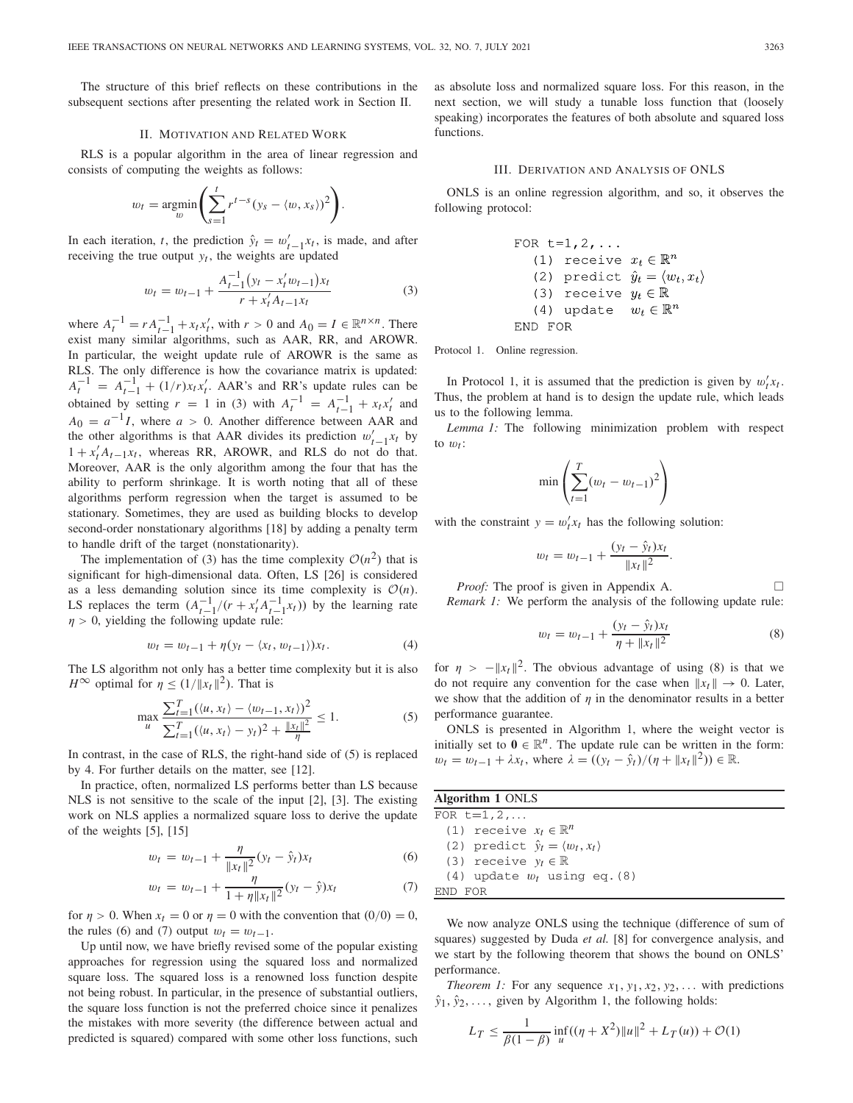The structure of this brief reflects on these contributions in the subsequent sections after presenting the related work in Section II.

#### II. MOTIVATION AND RELATED WORK

RLS is a popular algorithm in the area of linear regression and consists of computing the weights as follows:

$$
w_t = \underset{w}{\operatorname{argmin}} \left( \sum_{s=1}^t r^{t-s} (y_s - \langle w, x_s \rangle)^2 \right).
$$

In each iteration, *t*, the prediction  $\hat{y}_t = w'_{t-1}x_t$ , is made, and after receiving the true output  $y_t$ , the weights are updated

$$
w_t = w_{t-1} + \frac{A_{t-1}^{-1} (y_t - x_t' w_{t-1}) x_t}{r + x_t' A_{t-1} x_t} \tag{3}
$$

where  $A_t^{-1} = r A_{t-1}^{-1} + x_t x_t'$ , with  $r > 0$  and  $A_0 = I \in \mathbb{R}^{n \times n}$ . There exist many similar algorithms, such as AAR, RR, and AROWR. In particular, the weight update rule of AROWR is the same as RLS. The only difference is how the covariance matrix is updated:  $A_t^{-1} = A_{t-1}^{-1} + (1/r)x_tx'_t$ . AAR's and RR's update rules can be obtained by setting  $r = 1$  in (3) with  $A_t^{-1} = A_{t-1}^{-1} + x_t x_t'$  and  $A_0 = a^{-1}I$ , where  $a > 0$ . Another difference between AAR and the other algorithms is that AAR divides its prediction  $w'_{t-1}x_t$  by  $\frac{1}{2}$  $1 + x_t' A_{t-1} x_t$ , whereas RR, AROWR, and RLS do not do that. Moreover, AAR is the only algorithm among the four that has the ability to perform shrinkage. It is worth noting that all of these algorithms perform regression when the target is assumed to be stationary. Sometimes, they are used as building blocks to develop second-order nonstationary algorithms [18] by adding a penalty term to handle drift of the target (nonstationarity).

The implementation of (3) has the time complexity  $\mathcal{O}(n^2)$  that is significant for high-dimensional data. Often, LS [26] is considered as a less demanding solution since its time complexity is  $O(n)$ . LS replaces the term  $(A_{t-1}^{-1}/(r + x_t'A_{t-1}^{-1}x_t))$  by the learning rate  $\eta > 0$ , yielding the following update rule:

$$
w_t = w_{t-1} + \eta(y_t - \langle x_t, w_{t-1} \rangle) x_t.
$$
 (4)

The LS algorithm not only has a better time complexity but it is also *H*<sup>∞</sup> optimal for  $\eta$  < (1/*||x<sub>t</sub>* ||<sup>2</sup>). That is

$$
\max_{u} \frac{\sum_{t=1}^{T} (\langle u, x_t \rangle - \langle w_{t-1}, x_t \rangle)^2}{\sum_{t=1}^{T} (\langle u, x_t \rangle - y_t)^2 + \frac{\|x_t\|^2}{\eta}} \le 1.
$$
 (5)

In contrast, in the case of RLS, the right-hand side of (5) is replaced by 4. For further details on the matter, see [12].

In practice, often, normalized LS performs better than LS because NLS is not sensitive to the scale of the input [2], [3]. The existing work on NLS applies a normalized square loss to derive the update of the weights [5], [15]

$$
w_t = w_{t-1} + \frac{\eta}{\|x_t\|^2} (y_t - \hat{y}_t) x_t
$$
 (6)

$$
w_t = w_{t-1} + \frac{\eta}{1 + \eta \|x_t\|^2} (y_t - \hat{y}) x_t \tag{7}
$$

for  $\eta > 0$ . When  $x_t = 0$  or  $\eta = 0$  with the convention that  $(0/0) = 0$ , the rules (6) and (7) output  $w_t = w_{t-1}$ .

Up until now, we have briefly revised some of the popular existing approaches for regression using the squared loss and normalized square loss. The squared loss is a renowned loss function despite not being robust. In particular, in the presence of substantial outliers, the square loss function is not the preferred choice since it penalizes the mistakes with more severity (the difference between actual and predicted is squared) compared with some other loss functions, such as absolute loss and normalized square loss. For this reason, in the next section, we will study a tunable loss function that (loosely speaking) incorporates the features of both absolute and squared loss functions.

#### III. DERIVATION AND ANALYSIS OF ONLS

ONLS is an online regression algorithm, and so, it observes the following protocol:

FOR t=1,2,...

\n(1) receive 
$$
x_t \in \mathbb{R}^n
$$

\n(2) predict  $\hat{y}_t = \langle w_t, x_t \rangle$ 

\n(3) receive  $y_t \in \mathbb{R}$ 

\n(4) update  $w_t \in \mathbb{R}^n$ 

\nEND FOR

Protocol 1. Online regression.

In Protocol 1, it is assumed that the prediction is given by  $w_t^{\prime} x_t$ . Thus, the problem at hand is to design the update rule, which leads us to the following lemma.

*Lemma 1:* The following minimization problem with respect to  $w_t$ :

$$
\min\left(\sum_{t=1}^{T} (w_t - w_{t-1})^2\right)
$$

with the constraint  $y = w_t^t x_t$  has the following solution:

$$
w_t = w_{t-1} + \frac{(y_t - \hat{y}_t)x_t}{\|x_t\|^2}.
$$

*Proof:* The proof is given in Appendix A.  $\Box$ *Remark 1:* We perform the analysis of the following update rule:

$$
w_t = w_{t-1} + \frac{(y_t - \hat{y}_t)x_t}{\eta + \|x_t\|^2}
$$
\n(8)

for  $\eta > -||x_t||^2$ . The obvious advantage of using (8) is that we do not require any convention for the case when  $||x_t|| \to 0$ . Later, we show that the addition of  $\eta$  in the denominator results in a better performance guarantee.

ONLS is presented in Algorithm 1, where the weight vector is initially set to  $\mathbf{0} \in \mathbb{R}^n$ . The update rule can be written in the form: *w<sub>t</sub>* = *w<sub>t−1</sub>* +  $\lambda x_t$ , where  $\lambda = ((y_t - \hat{y}_t)/(\eta + ||x_t||^2)) \in \mathbb{R}$ .

| Algorithm 1 ONLS                                   |  |  |  |  |  |
|----------------------------------------------------|--|--|--|--|--|
| FOR $t=1, 2, $                                     |  |  |  |  |  |
| (1) receive $x_t \in \mathbb{R}^n$                 |  |  |  |  |  |
| (2) predict $\hat{y}_t = \langle w_t, x_t \rangle$ |  |  |  |  |  |
| (3) receive $y_t \in \mathbb{R}$                   |  |  |  |  |  |
| $(4)$ update $w_t$ using eq. (8)                   |  |  |  |  |  |
| FOR                                                |  |  |  |  |  |

We now analyze ONLS using the technique (difference of sum of squares) suggested by Duda *et al.* [8] for convergence analysis, and we start by the following theorem that shows the bound on ONLS' performance.

*Theorem 1:* For any sequence  $x_1, y_1, x_2, y_2, \ldots$  with predictions  $\hat{y}_1, \hat{y}_2, \ldots$ , given by Algorithm 1, the following holds:

$$
L_T \le \frac{1}{\beta(1-\beta)} \inf_u ((\eta + X^2) ||u||^2 + L_T(u)) + \mathcal{O}(1)
$$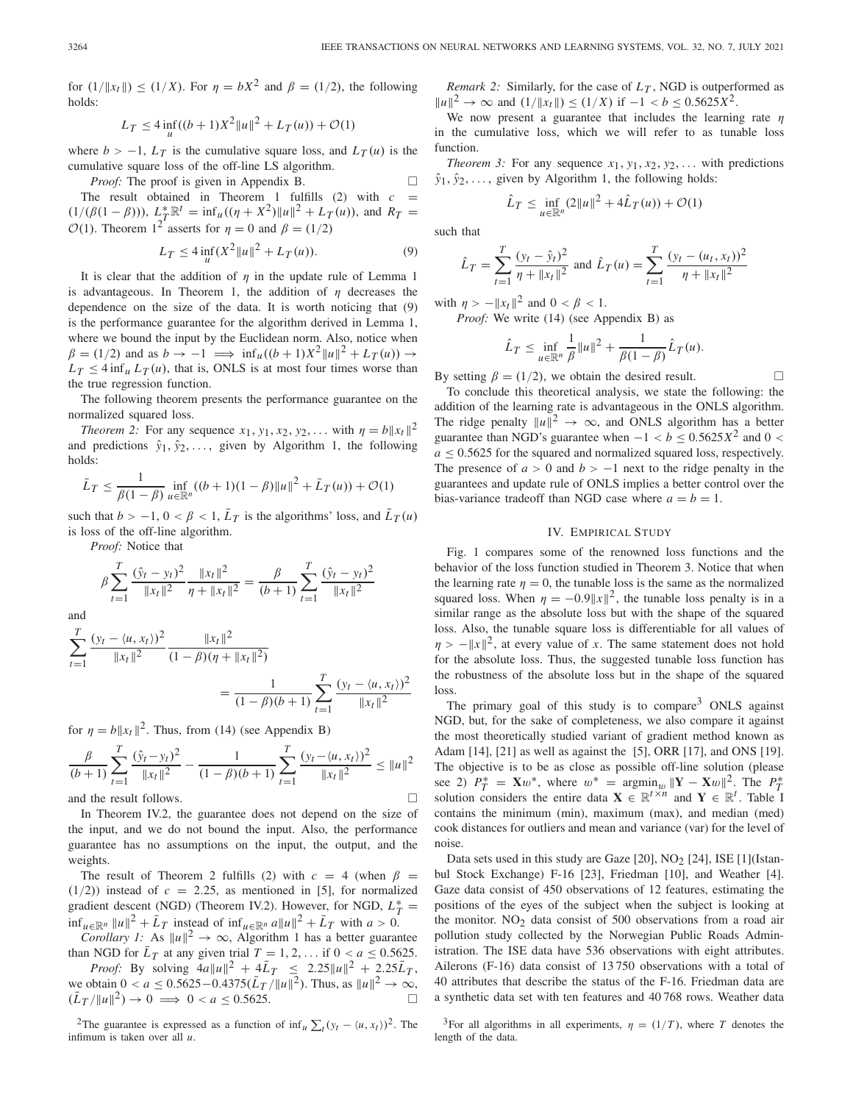for  $(1/\|x_t\|) < (1/X)$ . For  $\eta = bX^2$  and  $\beta = (1/2)$ , the following holds:

$$
L_T \le 4 \inf_u ((b+1)X^2 ||u||^2 + L_T(u)) + \mathcal{O}(1)
$$

where  $b > -1$ ,  $L_T$  is the cumulative square loss, and  $L_T(u)$  is the cumulative square loss of the off-line LS algorithm.

*Proof:* The proof is given in Appendix B.  $\Box$ The result obtained in Theorem 1 fulfills  $(2)$  with  $c =$  $(1/(\beta(1-\beta)))$ ,  $L_T^* \mathbb{R}^t = \inf_u ((\eta + X^2) ||u||^2 + L_T(u))$ , and  $R_T =$  $\mathcal{O}(1)$ . Theorem 1<sup>2</sup> asserts for  $\eta = 0$  and  $\beta = (1/2)$ 

$$
L_T \le 4 \inf_{u} (X^2 ||u||^2 + L_T(u)).
$$
 (9)

It is clear that the addition of  $\eta$  in the update rule of Lemma 1 is advantageous. In Theorem 1, the addition of  $\eta$  decreases the dependence on the size of the data. It is worth noticing that (9) is the performance guarantee for the algorithm derived in Lemma 1, where we bound the input by the Euclidean norm. Also, notice when  $\beta = (1/2)$  and as  $b \to -1 \implies \inf_{u}((b+1)X^2||u||^2 + L_T(u)) \to$  $L_T \leq 4 \inf_u L_T(u)$ , that is, ONLS is at most four times worse than the true regression function.

The following theorem presents the performance guarantee on the normalized squared loss.

*Theorem 2:* For any sequence  $x_1, y_1, x_2, y_2, \ldots$  with  $\eta = b||x_t||^2$ and predictions  $\hat{y}_1, \hat{y}_2, \ldots$ , given by Algorithm 1, the following holds:

$$
\bar{L}_T \le \frac{1}{\beta(1-\beta)} \inf_{u \in \mathbb{R}^n} ((b+1)(1-\beta) ||u||^2 + \bar{L}_T(u)) + \mathcal{O}(1)
$$

such that  $b > -1$ ,  $0 < \beta < 1$ ,  $\bar{L}_T$  is the algorithms' loss, and  $\bar{L}_T(u)$ is loss of the off-line algorithm.

*Proof:* Notice that

$$
\beta \sum_{t=1}^{T} \frac{(\hat{y}_t - y_t)^2}{\|x_t\|^2} \frac{\|x_t\|^2}{\eta + \|x_t\|^2} = \frac{\beta}{(b+1)} \sum_{t=1}^{T} \frac{(\hat{y}_t - y_t)^2}{\|x_t\|^2}
$$

and

$$
\sum_{t=1}^{T} \frac{(y_t - \langle u, x_t \rangle)^2}{\|x_t\|^2} \frac{\|x_t\|^2}{(1 - \beta)(\eta + \|x_t\|^2)} = \frac{1}{(1 - \beta)(b + 1)} \sum_{t=1}^{T} \frac{(y_t - \langle u, x_t \rangle)^2}{\|x_t\|^2}
$$

for  $\eta = b||x_t||^2$ . Thus, from (14) (see Appendix B)

$$
\frac{\beta}{(b+1)}\sum_{t=1}^{T}\frac{(\hat{y}_t - y_t)^2}{\|x_t\|^2} - \frac{1}{(1-\beta)(b+1)}\sum_{t=1}^{T}\frac{(y_t - \langle u, x_t \rangle)^2}{\|x_t\|^2} \le \|u\|^2
$$

and the result follows.  $\Box$ 

In Theorem IV.2, the guarantee does not depend on the size of the input, and we do not bound the input. Also, the performance guarantee has no assumptions on the input, the output, and the weights.

The result of Theorem 2 fulfills (2) with  $c = 4$  (when  $\beta =$  $(1/2)$ ) instead of  $c = 2.25$ , as mentioned in [5], for normalized gradient descent (NGD) (Theorem IV.2). However, for NGD,  $L_T^* =$  $\inf_{u \in \mathbb{R}^n} ||u||^2 + \bar{L}_T$  instead of  $\inf_{u \in \mathbb{R}^n} a||u||^2 + \bar{L}_T$  with *a* > 0.

*Corollary 1:* As  $||u||^2 \rightarrow \infty$ , Algorithm 1 has a better guarantee than NGD for  $\bar{L}_T$  at any given trial  $T = 1, 2, \ldots$  if  $0 < a \leq 0.5625$ .

*Proof:* By solving  $4a||u||^2 + 4\bar{L}_T \le 2.25||u||^2 + 2.25\bar{L}_T$ , we obtain 0 < *a* ≤ 0.5625 – 0.4375( $\bar{L}_T$  / $||u||^2$ ). Thus, as  $||u||^2 \to \infty$ ,  $(\bar{L}_T / \|u\|^2) \to 0 \implies 0 < a \leq 0.5625.$ 

<sup>2</sup>The guarantee is expressed as a function of  $\inf_{u} \sum_{t} (y_t - \langle u, x_t \rangle)^2$ . The infimum is taken over all *u*.

*Remark 2:* Similarly, for the case of  $L_T$ , NGD is outperformed as  $||u||^2$  → ∞ and  $(1/||x_t||)$  ≤  $(1/X)$  if  $-1 < b \le 0.5625X^2$ .

We now present a guarantee that includes the learning rate  $\eta$ in the cumulative loss, which we will refer to as tunable loss function.

*Theorem 3:* For any sequence  $x_1, y_1, x_2, y_2, \ldots$  with predictions  $\hat{y}_1, \hat{y}_2, \ldots$ , given by Algorithm 1, the following holds:

$$
\hat{L}_T \le \inf_{u \in \mathbb{R}^n} (2||u||^2 + 4\hat{L}_T(u)) + \mathcal{O}(1)
$$

such that

$$
\hat{L}_T = \sum_{t=1}^T \frac{(y_t - \hat{y}_t)^2}{\eta + \|x_t\|^2} \text{ and } \hat{L}_T(u) = \sum_{t=1}^T \frac{(y_t - (u_t, x_t))^2}{\eta + \|x_t\|^2}
$$

with  $\eta > -||x_t||^2$  and  $0 < \beta < 1$ .

*Proof:* We write (14) (see Appendix B) as

$$
\hat{L}_T \leq \inf_{u \in \mathbb{R}^n} \frac{1}{\beta} ||u||^2 + \frac{1}{\beta(1-\beta)} \hat{L}_T(u).
$$

By setting  $\beta = (1/2)$ , we obtain the desired result.

To conclude this theoretical analysis, we state the following: the addition of the learning rate is advantageous in the ONLS algorithm. The ridge penalty  $||u||^2 \rightarrow \infty$ , and ONLS algorithm has a better guarantee than NGD's guarantee when  $-1 < b \le 0.5625X^2$  and 0 <  $a \leq 0.5625$  for the squared and normalized squared loss, respectively. The presence of  $a > 0$  and  $b > -1$  next to the ridge penalty in the guarantees and update rule of ONLS implies a better control over the bias-variance tradeoff than NGD case where  $a = b = 1$ .

#### IV. EMPIRICAL STUDY

Fig. 1 compares some of the renowned loss functions and the behavior of the loss function studied in Theorem 3. Notice that when the learning rate  $\eta = 0$ , the tunable loss is the same as the normalized squared loss. When  $\eta = -0.9||x||^2$ , the tunable loss penalty is in a similar range as the absolute loss but with the shape of the squared loss. Also, the tunable square loss is differentiable for all values of  $\eta > -||x||^2$ , at every value of *x*. The same statement does not hold for the absolute loss. Thus, the suggested tunable loss function has the robustness of the absolute loss but in the shape of the squared loss.

The primary goal of this study is to compare<sup>3</sup> ONLS against NGD, but, for the sake of completeness, we also compare it against the most theoretically studied variant of gradient method known as Adam [14], [21] as well as against the [5], ORR [17], and ONS [19]. The objective is to be as close as possible off-line solution (please see 2)  $P_T^* = \mathbf{X}w^*$ , where  $w^* = \operatorname{argmin}_{w} ||\mathbf{Y} - \mathbf{X}w||^2$ . The  $P_T^*$ **FIGURE 1**  $T_T = \mathbf{X} \omega$ , where  $\omega = \arg\min_{\omega} \|\mathbf{I} - \mathbf{X} \omega\|$ . The  $T_T$  solution considers the entire data  $\mathbf{X} \in \mathbb{R}^{t \times n}$  and  $\mathbf{Y} \in \mathbb{R}^t$ . Table I contains the minimum (min), maximum (max), and median (med) cook distances for outliers and mean and variance (var) for the level of noise.

Data sets used in this study are Gaze  $[20]$ , NO<sub>2</sub>  $[24]$ , ISE  $[1]$ (Istanbul Stock Exchange) F-16 [23], Friedman [10], and Weather [4]. Gaze data consist of 450 observations of 12 features, estimating the positions of the eyes of the subject when the subject is looking at the monitor.  $NO<sub>2</sub>$  data consist of 500 observations from a road air pollution study collected by the Norwegian Public Roads Administration. The ISE data have 536 observations with eight attributes. Ailerons (F-16) data consist of 13 750 observations with a total of 40 attributes that describe the status of the F-16. Friedman data are a synthetic data set with ten features and 40 768 rows. Weather data

<sup>3</sup>For all algorithms in all experiments,  $\eta = (1/T)$ , where *T* denotes the length of the data.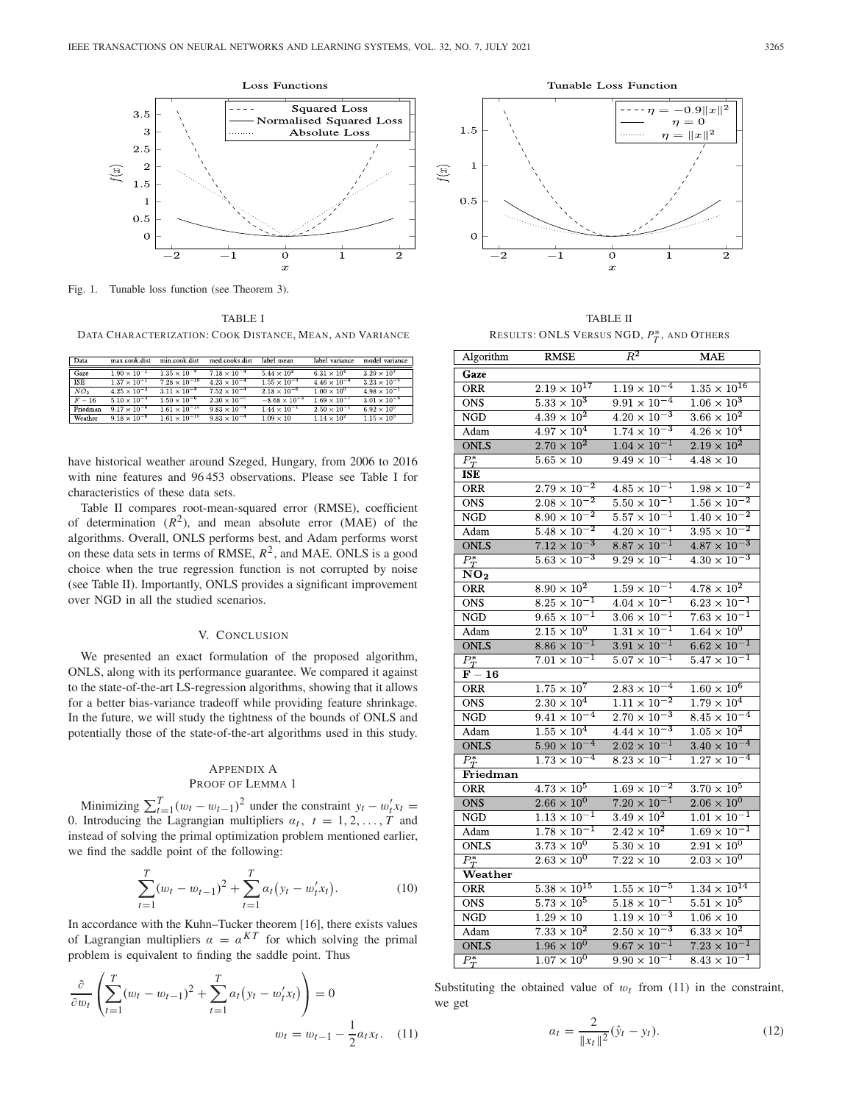

Fig. 1. Tunable loss function (see Theorem 3).

TABLE I DATA CHARACTERIZATION: COOK DISTANCE, MEAN, AND VARIANCE

| Data            | max.cook.dist         | min.cook.dist          | med.cooks.dist        | label mean             | label variance        | model variance        |
|-----------------|-----------------------|------------------------|-----------------------|------------------------|-----------------------|-----------------------|
| Gaze            | $1.90 \times 10^{-1}$ | $1.35 \times 10^{-8}$  | $7.18 \times 10^{-4}$ | $5.44 \times 10^{2}$   | $6.31 \times 10^{4}$  | $3.29 \times 10^{3}$  |
| <b>ISE</b>      | $1.37 \times 10^{-1}$ | $7.28 \times 10^{-10}$ | $4.23 \times 10^{-4}$ | $1.55 \times 10^{-3}$  | $4.46 \times 10^{-4}$ | $3.23 \times 10^{-5}$ |
| NO <sub>2</sub> | $4.25 \times 10^{-2}$ | $3.11 \times 10^{-8}$  | $7.52 \times 10^{-4}$ | $2.18 \times 10^{-6}$  | $1.00 \times 10^{0}$  | $4.98 \times 10^{-1}$ |
| $F = 16$        | $5.10 \times 10^{-2}$ | $1.50 \times 10^{-6}$  | $2.30 \times 10^{-5}$ | $-8.68 \times 10^{-4}$ | $1.69 \times 10^{-7}$ | $3.01 \times 10^{-8}$ |
| Friedman        | $9.17 \times 10^{-6}$ | $1.61 \times 10^{-15}$ | $9.83 \times 10^{-4}$ | $1.44 \times 10^{-1}$  | $2.50 \times 10^{-1}$ | $6.92 \times 10^{0}$  |
| Weather         | $9.18 \times 10^{-6}$ | $1.61 \times 10^{-15}$ | $9.83 \times 10^{-4}$ | $1.09 \times 10$       | $1.14 \times 10^{2}$  | $1.15 \times 10^{0}$  |

have historical weather around Szeged, Hungary, from 2006 to 2016 with nine features and 96 453 observations. Please see Table I for characteristics of these data sets.

Table II compares root-mean-squared error (RMSE), coefficient of determination  $(R^2)$ , and mean absolute error (MAE) of the algorithms. Overall, ONLS performs best, and Adam performs worst on these data sets in terms of RMSE,  $R^2$ , and MAE. ONLS is a good choice when the true regression function is not corrupted by noise (see Table II). Importantly, ONLS provides a significant improvement over NGD in all the studied scenarios.

## V. CONCLUSION

We presented an exact formulation of the proposed algorithm, ONLS, along with its performance guarantee. We compared it against to the state-of-the-art LS-regression algorithms, showing that it allows for a better bias-variance tradeoff while providing feature shrinkage. In the future, we will study the tightness of the bounds of ONLS and potentially those of the state-of-the-art algorithms used in this study.

## APPENDIX A PROOF OF LEMMA 1

Minimizing  $\sum_{t=1}^{T} (w_t - w_{t-1})^2$  under the constraint  $y_t - w_t' x_t =$ 0. Introducing the Lagrangian multipliers  $\alpha_t$ ,  $t = 1, 2, \ldots, T$  and instead of solving the primal optimization problem mentioned earlier, we find the saddle point of the following:

$$
\sum_{t=1}^{T} (w_t - w_{t-1})^2 + \sum_{t=1}^{T} \alpha_t (y_t - w'_t x_t).
$$
 (10)

In accordance with the Kuhn–Tucker theorem [16], there exists values of Lagrangian multipliers  $\alpha = \alpha^{KT}$  for which solving the primal problem is equivalent to finding the saddle point. Thus

$$
\frac{\partial}{\partial w_t} \left( \sum_{t=1}^T (w_t - w_{t-1})^2 + \sum_{t=1}^T \alpha_t (y_t - w'_t x_t) \right) = 0
$$
  

$$
w_t = w_{t-1} - \frac{1}{2} \alpha_t x_t.
$$
 (11)



TABLE II RESULTS: ONLS VERSUS NGD, *P*∗ *<sup>T</sup>* , AND OTHERS

| Algorithm                              | <b>RMSE</b>                                       | $R^2$                                             | <b>MAE</b>                    |
|----------------------------------------|---------------------------------------------------|---------------------------------------------------|-------------------------------|
| Gaze                                   |                                                   |                                                   |                               |
| <b>ORR</b>                             | $2.19 \times 10^{17}$                             | $1.19 \times 10^{-4}$                             | $1.35 \times 10^{16}$         |
| <b>ONS</b>                             | $5.33 \times 10^3$                                | $9.91\times10^{-4}$                               | $1.06 \times 10^{3}$          |
| NGD                                    | $4.39 \times 10^{2}$                              | $4.20 \times 10^{-3}$                             | $3.66 \times 10^{2}$          |
| Adam                                   | $4.97 \times 10^{4}$                              | $\frac{1.74 \times 10^{-3}}{1.74 \times 10^{-3}}$ | $4.26 \times 10^{4}$          |
| <b>ONLS</b>                            | $2.70 \times 10^{2}$                              | $1.04\times10^{-1}$                               | $2.19\times10^2$              |
| $\overline{P_T^*}$                     | $5.65\times10$                                    | $\frac{9.49 \times 10^{-1}}{1}$                   | $4.48 \times 10$              |
| ISE                                    |                                                   |                                                   |                               |
| ORR                                    | $2.79 \times 10^{-2}$                             | $4.85 \times 10^{-1}$                             | $1.98 \times 10^{-2}$         |
| <b>ONS</b>                             | $2.08\times10^{-2}$                               | $5.50\times10^{-1}$                               | $1.56 \times 10^{-2}$         |
| <b>NGD</b>                             | $8.90 \times 10^{-2}$                             | $5.57 \times 10^{-1}$                             | $1.40 \times 10^{-2}$         |
| Adam                                   | $5.48 \times 10^{-2}$                             | $4.20 \times 10^{-1}$                             | $3.95 \times 10^{-2}$         |
| <b>ONLS</b>                            | $7.12 \times 10^{-3}$                             | $8.87 \times 10^{-1}$                             | $4.87 \times 10^{-3}$         |
| $\overline{P_T^*}$                     | $\overline{5.63\times10^{-3}}$                    | $\frac{1}{9.29 \times 10^{-1}}$                   | $4.30 \times 10^{-3}$         |
| NO <sub>2</sub>                        |                                                   |                                                   |                               |
| <b>ORR</b>                             | $8.90 \times 10^{2}$                              | $1.\overline{59\times10^{-1}}$                    | $4.78\times10^{2}$            |
| $\overline{ONS}$                       | $8.\overline{25 \times 10^{-1}}$                  | $4.04 \times 10^{-1}$                             | $6.23 \times 10^{-1}$         |
| <b>NGD</b>                             | $9.65 \times 10^{-1}$                             | $3.06 \times 10^{-1}$                             | $7.63\times10^{-1}$           |
| Adam                                   | $2.15 \times 10^{0}$                              | $\frac{1.31 \times 10^{-1}}{1.31 \times 10^{-1}}$ | $1.64 \times 10^{0}$          |
| <b>ONLS</b>                            | $8.86 \times 10^{-1}$                             | $3.91 \times 10^{-1}$                             | $6.62 \times 10^{-1}$         |
| $\frac{P_T^*}{\mathbf{F}-\mathbf{16}}$ | $7.01 \times 10^{-1}$                             | $5.07 \times 10^{-1}$                             | $5.47 \times 10^{-1}$         |
|                                        |                                                   |                                                   |                               |
| ORR                                    | $1.\overline{75 \times 10^7}$                     | $2.83 \times 10^{-4}$                             | $1.60\times10^6$              |
| <b>ONS</b>                             | $2.30 \times 10^{4}$                              | $\frac{1.11 \times 10^{-2}}{1.11 \times 10^{-2}}$ | $1.79 \times 10^{4}$          |
| NGD                                    | $9.41 \times 10^{-4}$                             | $2.70 \times 10^{-3}$                             | $8.45 \times 10^{-4}$         |
| Adam                                   | $1.55 \times 10^{4}$                              | $4.44 \times 10^{-3}$                             | $1.\overline{05 \times 10^2}$ |
| <b>ONLS</b>                            | $5.90 \times 10^{-4}$                             | $2.02 \times 10^{-1}$                             | $3.40 \times 10^{-4}$         |
| $\overline{P_T^*}$                     | $1.73 \times 10^{-4}$                             | $8.23 \times 10^{-1}$                             | $1.27\times10^{-4}$           |
| Friedman                               |                                                   |                                                   |                               |
| <b>ORR</b>                             | $4.73 \times 10^5$                                | $1.69 \times 10^{-2}$                             | $3.70 \times 10^5$            |
| <b>ONS</b>                             | $2.66 \times 10^{0}$                              | $7.20 \times 10^{-1}$                             | $2.06 \times 10^{0}$          |
| NGD                                    | $\frac{1.13 \times 10^{-1}}{1.13 \times 10^{-1}}$ | $3.49 \times 10^{2}$                              | $1.01 \times 10^{-1}$         |
| Adam                                   | $1.78 \times 10^{-1}$                             | $2.42 \times 10^{2}$                              | $1.69 \times 10^{-1}$         |
| <b>ONLS</b>                            | $3.73 \times 10^{0}$                              | $5.30 \times 10$                                  | $2.91 \times 10^{0}$          |
| $\overline{P_T^*}$                     | $2.63\times10^{0}$                                | $7.22 \times 10$                                  | $2.03\times10^{0}$            |
| Weather                                |                                                   |                                                   |                               |
| ORR                                    | $5.38 \times 10^{15}$                             | $1.55 \times 10^{-5}$                             | $1.34 \times 10^{14}$         |
| <b>ONS</b>                             | $5.73 \times 10^{5}$                              | $5.18 \times 10^{-1}$                             | $5.51 \times 10^5$            |
| $_{\rm NGD}$                           | $1.29 \times 10$                                  | $1.\overline{19\times10^{-3}}$                    | $1.06\times10$                |
| Adam                                   | $7.\overline{33 \times 10^2}$                     | $2.50 \times 10^{-3}$                             | $6.\overline{33} \times 10^2$ |
| <b>ONLS</b>                            | $1.96 \times 10^{0}$                              | $9.67 \times 10^{-1}$                             | $7.23 \times 10^{-1}$         |
| $\overline{P_T^*}$                     | $1.07 \times 10^{0}$                              | $9.90 \times 10^{-1}$                             | $8.43 \times 10^{-1}$         |

Substituting the obtained value of  $w_t$  from (11) in the constraint, we get

$$
\alpha_t = \frac{2}{\|x_t\|^2} (\hat{y}_t - y_t). \tag{12}
$$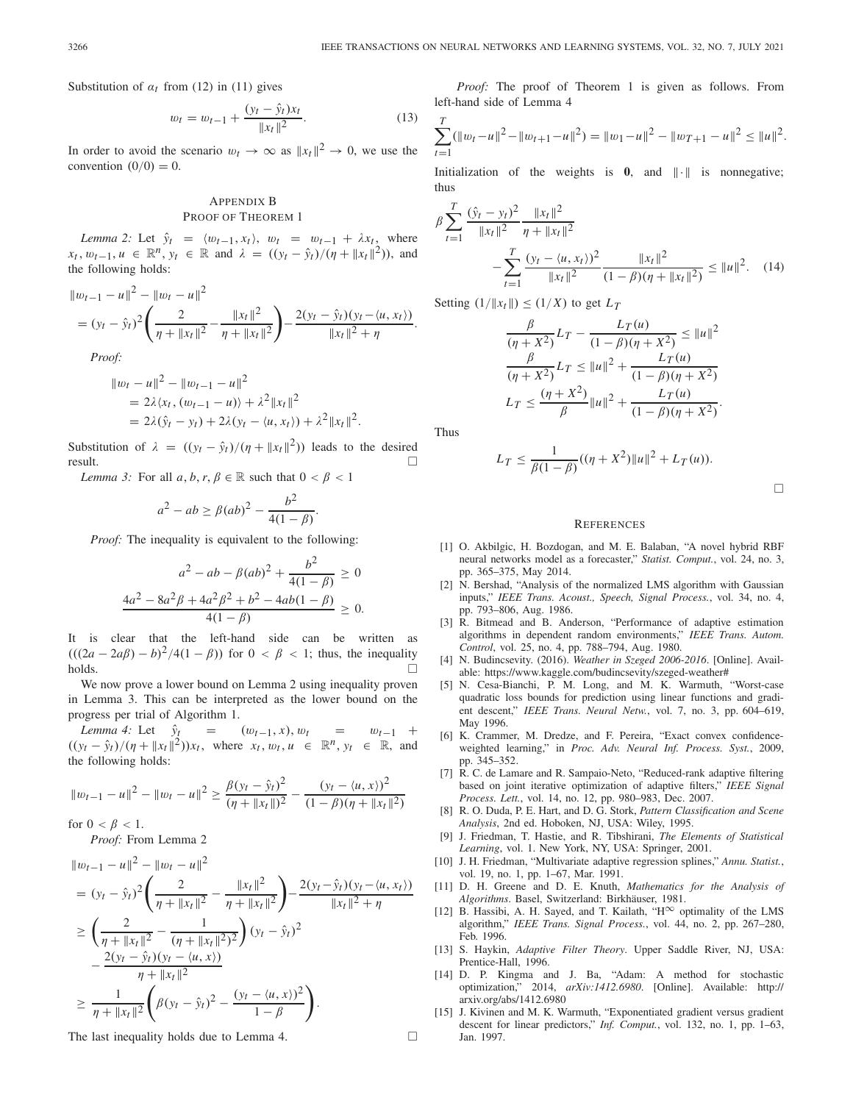Substitution of  $\alpha_t$  from (12) in (11) gives

$$
w_t = w_{t-1} + \frac{(y_t - \hat{y}_t)x_t}{\|x_t\|^2}.
$$
 (13)

In order to avoid the scenario  $w_t \to \infty$  as  $||x_t||^2 \to 0$ , we use the convention  $(0/0) = 0$ .

## APPENDIX B PROOF OF THEOREM 1

*Lemma 2:* Let  $\hat{y}_t = \langle w_{t-1}, x_t \rangle$ ,  $w_t = w_{t-1} + \lambda x_t$ , where *xt*,  $w_{t-1}$ ,  $u \in \mathbb{R}^n$ ,  $y_t \in \mathbb{R}$  and  $\lambda = ((y_t - \hat{y}_t)/(\eta + \|x_t\|^2))$ , and the following holds:

$$
||w_{t-1} - u||^2 - ||w_t - u||^2
$$
  
=  $(y_t - \hat{y}_t)^2 \left( \frac{2}{\eta + ||x_t||^2} - \frac{||x_t||^2}{\eta + ||x_t||^2} \right) - \frac{2(y_t - \hat{y}_t)(y_t - \langle u, x_t \rangle)}{||x_t||^2 + \eta}.$ 

*Proof:*

$$
\|w_t - u\|^2 - \|w_{t-1} - u\|^2
$$
  
=  $2\lambda \langle x_t, (w_{t-1} - u) \rangle + \lambda^2 \|x_t\|^2$   
=  $2\lambda (\hat{y}_t - y_t) + 2\lambda (y_t - \langle u, x_t \rangle) + \lambda^2 \|x_t\|^2$ .

Substitution of  $\lambda = ((y_t - \hat{y}_t)/(\eta + ||x_t||^2))$  leads to the desired result. result.  $\Box$ 

*Lemma 3:* For all  $a, b, r, \beta \in \mathbb{R}$  such that  $0 < \beta < 1$ 

$$
a^{2} - ab \ge \beta (ab)^{2} - \frac{b^{2}}{4(1 - \beta)}.
$$

*Proof:* The inequality is equivalent to the following:

$$
a^{2} - ab - \beta(ab)^{2} + \frac{b^{2}}{4(1 - \beta)} \ge 0
$$

$$
\frac{4a^{2} - 8a^{2}\beta + 4a^{2}\beta^{2} + b^{2} - 4ab(1 - \beta)}{4(1 - \beta)} \ge 0.
$$

It is clear that the left-hand side can be written as  $(((2a - 2a\beta) - b)^2/4(1 - \beta))$  for  $0 < \beta < 1$ ; thus, the inequality holds.  $\Box$ holds.

We now prove a lower bound on Lemma 2 using inequality proven in Lemma 3. This can be interpreted as the lower bound on the progress per trial of Algorithm 1.

*Lemma 4:* Let  $\hat{y}_t = (w_{t-1}, x), w_t = w_{t-1} +$  $((y_t - \hat{y}_t)/(\eta + ||x_t||^2))x_t$ , where  $x_t, w_t, u \in \mathbb{R}^n, y_t \in \mathbb{R}$ , and the following holds:

$$
||w_{t-1} - u||^2 - ||w_t - u||^2 \ge \frac{\beta(y_t - \hat{y}_t)^2}{(\eta + ||x_t||)^2} - \frac{(y_t - \langle u, x \rangle)^2}{(1 - \beta)(\eta + ||x_t||^2)}
$$

for  $0 < \beta < 1$ .

*Proof:* From Lemma 2

$$
\|w_{t-1} - u\|^2 - \|w_t - u\|^2
$$
  
=  $(y_t - \hat{y}_t)^2 \left(\frac{2}{\eta + \|x_t\|^2} - \frac{\|x_t\|^2}{\eta + \|x_t\|^2}\right) - \frac{2(y_t - \hat{y}_t)(y_t - \langle u, x_t\rangle)}{\|x_t\|^2 + \eta}$   

$$
\geq \left(\frac{2}{\eta + \|x_t\|^2} - \frac{1}{(\eta + \|x_t\|^2)^2}\right) (y_t - \hat{y}_t)^2
$$
  

$$
- \frac{2(y_t - \hat{y}_t)(y_t - \langle u, x\rangle)}{\eta + \|x_t\|^2}
$$
  

$$
\geq \frac{1}{\eta + \|x_t\|^2} \left(\beta(y_t - \hat{y}_t)^2 - \frac{(y_t - \langle u, x\rangle)^2}{1 - \beta}\right).
$$

The last inequality holds due to Lemma 4.

*Proof:* The proof of Theorem 1 is given as follows. From left-hand side of Lemma 4

$$
\sum_{t=1}^T (\|w_t - u\|^2 - \|w_{t+1} - u\|^2) = \|w_1 - u\|^2 - \|w_{T+1} - u\|^2 \le \|u\|^2.
$$

Initialization of the weights is  $\mathbf{0}$ , and  $\|\cdot\|$  is nonnegative; thus

$$
\beta \sum_{t=1}^{T} \frac{(\hat{y}_t - y_t)^2}{\|x_t\|^2} \frac{\|x_t\|^2}{\eta + \|x_t\|^2} - \sum_{t=1}^{T} \frac{(y_t - \langle u, x_t \rangle)^2}{\|x_t\|^2} \frac{\|x_t\|^2}{(1 - \beta)(\eta + \|x_t\|^2)} \le \|u\|^2. \tag{14}
$$

Setting  $(1/\|x_t\|) \le (1/X)$  to get  $L_T$ 

$$
\frac{\beta}{(\eta + X^2)} L_T - \frac{L_T(u)}{(1 - \beta)(\eta + X^2)} \le ||u||^2
$$
  

$$
\frac{\beta}{(\eta + X^2)} L_T \le ||u||^2 + \frac{L_T(u)}{(1 - \beta)(\eta + X^2)}
$$
  

$$
L_T \le \frac{(\eta + X^2)}{\beta} ||u||^2 + \frac{L_T(u)}{(1 - \beta)(\eta + X^2)}.
$$

Thus

$$
L_T \leq \frac{1}{\beta(1-\beta)}((\eta + X^2)\|u\|^2 + L_T(u)).
$$

 $\Box$ 

#### **REFERENCES**

- [1] O. Akbilgic, H. Bozdogan, and M. E. Balaban, "A novel hybrid RBF neural networks model as a forecaster," *Statist. Comput.*, vol. 24, no. 3, pp. 365–375, May 2014.
- [2] N. Bershad, "Analysis of the normalized LMS algorithm with Gaussian inputs," *IEEE Trans. Acoust., Speech, Signal Process.*, vol. 34, no. 4, pp. 793–806, Aug. 1986.
- [3] R. Bitmead and B. Anderson, "Performance of adaptive estimation algorithms in dependent random environments," *IEEE Trans. Autom. Control*, vol. 25, no. 4, pp. 788–794, Aug. 1980.
- [4] N. Budincsevity. (2016). *Weather in Szeged 2006-2016*. [Online]. Available: https://www.kaggle.com/budincsevity/szeged-weather#
- [5] N. Cesa-Bianchi, P. M. Long, and M. K. Warmuth, "Worst-case quadratic loss bounds for prediction using linear functions and gradient descent," *IEEE Trans. Neural Netw.*, vol. 7, no. 3, pp. 604–619, May 1996.
- [6] K. Crammer, M. Dredze, and F. Pereira, "Exact convex confidenceweighted learning," in *Proc. Adv. Neural Inf. Process. Syst.*, 2009, pp. 345–352.
- [7] R. C. de Lamare and R. Sampaio-Neto, "Reduced-rank adaptive filtering based on joint iterative optimization of adaptive filters," *IEEE Signal Process. Lett.*, vol. 14, no. 12, pp. 980–983, Dec. 2007.
- [8] R. O. Duda, P. E. Hart, and D. G. Stork, *Pattern Classification and Scene Analysis*, 2nd ed. Hoboken, NJ, USA: Wiley, 1995.
- [9] J. Friedman, T. Hastie, and R. Tibshirani, *The Elements of Statistical Learning*, vol. 1. New York, NY, USA: Springer, 2001.
- [10] J. H. Friedman, "Multivariate adaptive regression splines," *Annu. Statist.*, vol. 19, no. 1, pp. 1–67, Mar. 1991.
- [11] D. H. Greene and D. E. Knuth, *Mathematics for the Analysis of Algorithms*. Basel, Switzerland: Birkhäuser, 1981.
- [12] B. Hassibi, A. H. Sayed, and T. Kailath, " $H^{\infty}$  optimality of the LMS algorithm," *IEEE Trans. Signal Process.*, vol. 44, no. 2, pp. 267–280, Feb. 1996.
- [13] S. Haykin, *Adaptive Filter Theory*. Upper Saddle River, NJ, USA: Prentice-Hall, 1996.
- [14] D. P. Kingma and J. Ba, "Adam: A method for stochastic optimization," 2014, *arXiv:1412.6980*. [Online]. Available: http:// arxiv.org/abs/1412.6980
- [15] J. Kivinen and M. K. Warmuth, "Exponentiated gradient versus gradient descent for linear predictors," *Inf. Comput.*, vol. 132, no. 1, pp. 1–63, Jan. 1997.

 $\Box$